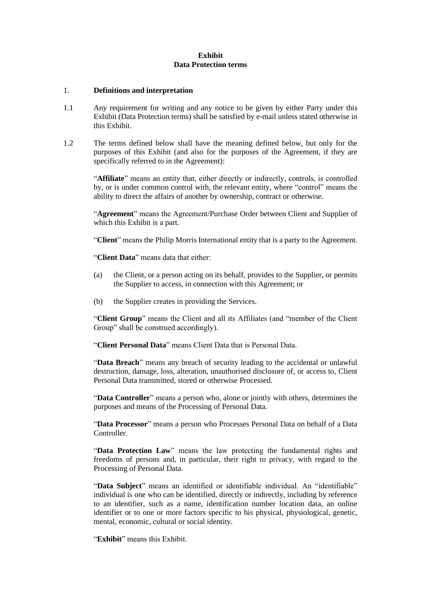## **Exhibit Data Protection terms**

### 1. **Definitions and interpretation**

- 1.1 Any requirement for writing and any notice to be given by either Party under this Exhibit (Data Protection terms) shall be satisfied by e-mail unless stated otherwise in this Exhibit.
- 1.2 The terms defined below shall have the meaning defined below, but only for the purposes of this Exhibit (and also for the purposes of the Agreement, if they are specifically referred to in the Agreement):

"**Affiliate**" means an entity that, either directly or indirectly, controls, is controlled by, or is under common control with, the relevant entity, where "control" means the ability to direct the affairs of another by ownership, contract or otherwise.

"**Agreement**" means the Agreement/Purchase Order between Client and Supplier of which this Exhibit is a part.

"**Client**" means the Philip Morris International entity that is a party to the Agreement.

"**Client Data**" means data that either:

- (a) the Client, or a person acting on its behalf, provides to the Supplier, or permits the Supplier to access, in connection with this Agreement; or
- (b) the Supplier creates in providing the Services.

"**Client Group**" means the Client and all its Affiliates (and "member of the Client Group" shall be construed accordingly).

"**Client Personal Data**" means Client Data that is Personal Data.

"**Data Breach**" means any breach of security leading to the accidental or unlawful destruction, damage, loss, alteration, unauthorised disclosure of, or access to, Client Personal Data transmitted, stored or otherwise Processed.

"**Data Controller**" means a person who, alone or jointly with others, determines the purposes and means of the Processing of Personal Data.

"**Data Processor**" means a person who Processes Personal Data on behalf of a Data Controller.

"**Data Protection Law**" means the law protecting the fundamental rights and freedoms of persons and, in particular, their right to privacy, with regard to the Processing of Personal Data.

"**Data Subject**" means an identified or identifiable individual. An "identifiable" individual is one who can be identified, directly or indirectly, including by reference to an identifier, such as a name, identification number location data, an online identifier or to one or more factors specific to his physical, physiological, genetic, mental, economic, cultural or social identity.

"**Exhibit**" means this Exhibit.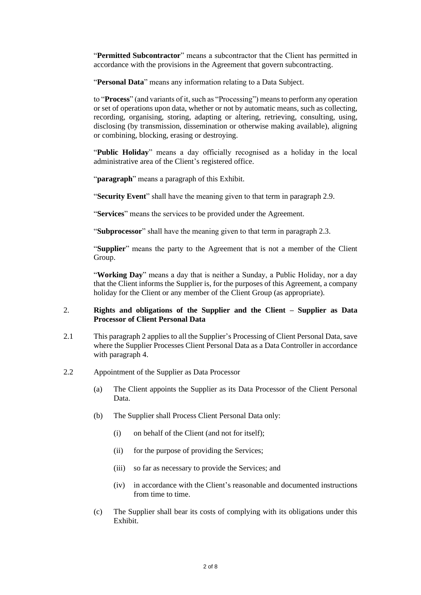"**Permitted Subcontractor**" means a subcontractor that the Client has permitted in accordance with the provisions in the Agreement that govern subcontracting.

"**Personal Data**" means any information relating to a Data Subject.

to "**Process**" (and variants of it, such as "Processing") means to perform any operation or set of operations upon data, whether or not by automatic means, such as collecting, recording, organising, storing, adapting or altering, retrieving, consulting, using, disclosing (by transmission, dissemination or otherwise making available), aligning or combining, blocking, erasing or destroying.

"**Public Holiday**" means a day officially recognised as a holiday in the local administrative area of the Client's registered office.

"**paragraph**" means a paragraph of this Exhibit.

"**Security Event**" shall have the meaning given to that term in paragraph 2.9.

"**Services**" means the services to be provided under the Agreement.

"**Subprocessor**" shall have the meaning given to that term in paragraph 2.3.

"**Supplier**" means the party to the Agreement that is not a member of the Client Group.

"**Working Day**" means a day that is neither a Sunday, a Public Holiday, nor a day that the Client informs the Supplier is, for the purposes of this Agreement, a company holiday for the Client or any member of the Client Group (as appropriate).

## 2. **Rights and obligations of the Supplier and the Client – Supplier as Data Processor of Client Personal Data**

- 2.1 This paragraph 2 applies to all the Supplier's Processing of Client Personal Data, save where the Supplier Processes Client Personal Data as a Data Controller in accordance with paragraph 4.
- 2.2 Appointment of the Supplier as Data Processor
	- (a) The Client appoints the Supplier as its Data Processor of the Client Personal Data.
	- (b) The Supplier shall Process Client Personal Data only:
		- (i) on behalf of the Client (and not for itself);
		- (ii) for the purpose of providing the Services;
		- (iii) so far as necessary to provide the Services; and
		- (iv) in accordance with the Client's reasonable and documented instructions from time to time.
	- (c) The Supplier shall bear its costs of complying with its obligations under this Exhibit.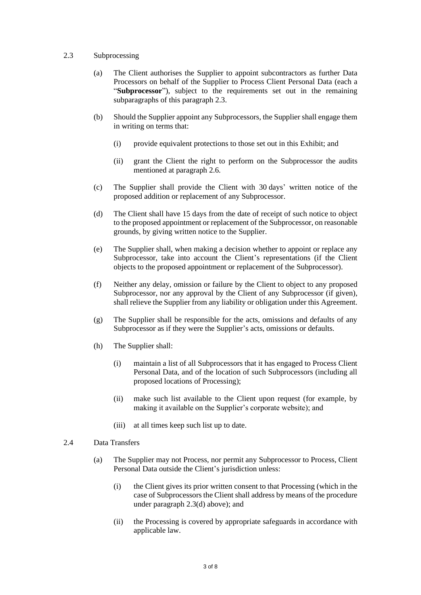### 2.3 Subprocessing

- (a) The Client authorises the Supplier to appoint subcontractors as further Data Processors on behalf of the Supplier to Process Client Personal Data (each a "**Subprocessor**"), subject to the requirements set out in the remaining subparagraphs of this paragraph 2.3.
- (b) Should the Supplier appoint any Subprocessors, the Supplier shall engage them in writing on terms that:
	- (i) provide equivalent protections to those set out in this Exhibit; and
	- (ii) grant the Client the right to perform on the Subprocessor the audits mentioned at paragraph 2.6.
- (c) The Supplier shall provide the Client with 30 days' written notice of the proposed addition or replacement of any Subprocessor.
- (d) The Client shall have 15 days from the date of receipt of such notice to object to the proposed appointment or replacement of the Subprocessor, on reasonable grounds, by giving written notice to the Supplier.
- (e) The Supplier shall, when making a decision whether to appoint or replace any Subprocessor, take into account the Client's representations (if the Client objects to the proposed appointment or replacement of the Subprocessor).
- (f) Neither any delay, omission or failure by the Client to object to any proposed Subprocessor, nor any approval by the Client of any Subprocessor (if given), shall relieve the Supplier from any liability or obligation under this Agreement.
- (g) The Supplier shall be responsible for the acts, omissions and defaults of any Subprocessor as if they were the Supplier's acts, omissions or defaults.
- (h) The Supplier shall:
	- (i) maintain a list of all Subprocessors that it has engaged to Process Client Personal Data, and of the location of such Subprocessors (including all proposed locations of Processing);
	- (ii) make such list available to the Client upon request (for example, by making it available on the Supplier's corporate website); and
	- (iii) at all times keep such list up to date.
- 2.4 Data Transfers
	- (a) The Supplier may not Process, nor permit any Subprocessor to Process, Client Personal Data outside the Client's jurisdiction unless:
		- (i) the Client gives its prior written consent to that Processing (which in the case of Subprocessors the Client shall address by means of the procedure under paragraph 2.3(d) above); and
		- (ii) the Processing is covered by appropriate safeguards in accordance with applicable law.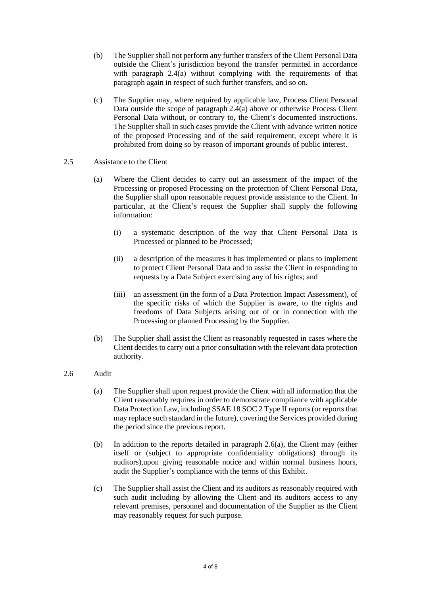- (b) The Supplier shall not perform any further transfers of the Client Personal Data outside the Client's jurisdiction beyond the transfer permitted in accordance with paragraph 2.4(a) without complying with the requirements of that paragraph again in respect of such further transfers, and so on.
- (c) The Supplier may, where required by applicable law, Process Client Personal Data outside the scope of paragraph 2.4(a) above or otherwise Process Client Personal Data without, or contrary to, the Client's documented instructions. The Supplier shall in such cases provide the Client with advance written notice of the proposed Processing and of the said requirement, except where it is prohibited from doing so by reason of important grounds of public interest.
- 2.5 Assistance to the Client
	- (a) Where the Client decides to carry out an assessment of the impact of the Processing or proposed Processing on the protection of Client Personal Data, the Supplier shall upon reasonable request provide assistance to the Client. In particular, at the Client's request the Supplier shall supply the following information:
		- (i) a systematic description of the way that Client Personal Data is Processed or planned to be Processed;
		- (ii) a description of the measures it has implemented or plans to implement to protect Client Personal Data and to assist the Client in responding to requests by a Data Subject exercising any of his rights; and
		- (iii) an assessment (in the form of a Data Protection Impact Assessment), of the specific risks of which the Supplier is aware, to the rights and freedoms of Data Subjects arising out of or in connection with the Processing or planned Processing by the Supplier.
	- (b) The Supplier shall assist the Client as reasonably requested in cases where the Client decides to carry out a prior consultation with the relevant data protection authority.
- 2.6 Audit
	- (a) The Supplier shall upon request provide the Client with all information that the Client reasonably requires in order to demonstrate compliance with applicable Data Protection Law, including SSAE 18 SOC 2 Type II reports (or reports that may replace such standard in the future), covering the Services provided during the period since the previous report.
	- (b) In addition to the reports detailed in paragraph 2.6(a), the Client may (either itself or (subject to appropriate confidentiality obligations) through its auditors),upon giving reasonable notice and within normal business hours, audit the Supplier's compliance with the terms of this Exhibit.
	- (c) The Supplier shall assist the Client and its auditors as reasonably required with such audit including by allowing the Client and its auditors access to any relevant premises, personnel and documentation of the Supplier as the Client may reasonably request for such purpose.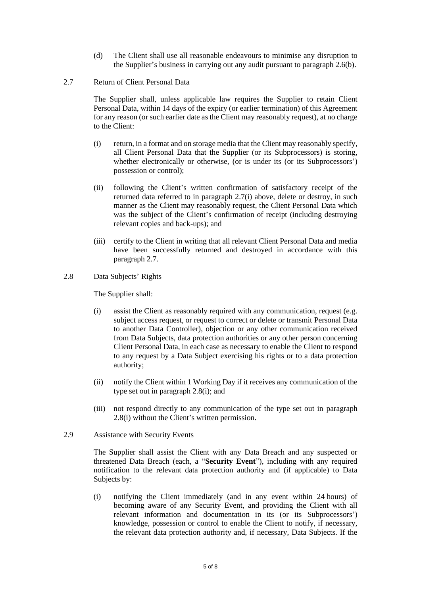- (d) The Client shall use all reasonable endeavours to minimise any disruption to the Supplier's business in carrying out any audit pursuant to paragraph 2.6(b).
- 2.7 Return of Client Personal Data

The Supplier shall, unless applicable law requires the Supplier to retain Client Personal Data, within 14 days of the expiry (or earlier termination) of this Agreement for any reason (or such earlier date as the Client may reasonably request), at no charge to the Client:

- (i) return, in a format and on storage media that the Client may reasonably specify, all Client Personal Data that the Supplier (or its Subprocessors) is storing, whether electronically or otherwise, (or is under its (or its Subprocessors') possession or control);
- (ii) following the Client's written confirmation of satisfactory receipt of the returned data referred to in paragraph 2.7(i) above, delete or destroy, in such manner as the Client may reasonably request, the Client Personal Data which was the subject of the Client's confirmation of receipt (including destroying relevant copies and back-ups); and
- (iii) certify to the Client in writing that all relevant Client Personal Data and media have been successfully returned and destroyed in accordance with this paragraph 2.7.
- 2.8 Data Subjects' Rights

The Supplier shall:

- (i) assist the Client as reasonably required with any communication, request (e.g. subject access request, or request to correct or delete or transmit Personal Data to another Data Controller), objection or any other communication received from Data Subjects, data protection authorities or any other person concerning Client Personal Data, in each case as necessary to enable the Client to respond to any request by a Data Subject exercising his rights or to a data protection authority;
- (ii) notify the Client within 1 Working Day if it receives any communication of the type set out in paragraph 2.8(i); and
- (iii) not respond directly to any communication of the type set out in paragraph 2.8(i) without the Client's written permission.
- 2.9 Assistance with Security Events

The Supplier shall assist the Client with any Data Breach and any suspected or threatened Data Breach (each, a "**Security Event**"), including with any required notification to the relevant data protection authority and (if applicable) to Data Subjects by:

(i) notifying the Client immediately (and in any event within 24 hours) of becoming aware of any Security Event, and providing the Client with all relevant information and documentation in its (or its Subprocessors') knowledge, possession or control to enable the Client to notify, if necessary, the relevant data protection authority and, if necessary, Data Subjects. If the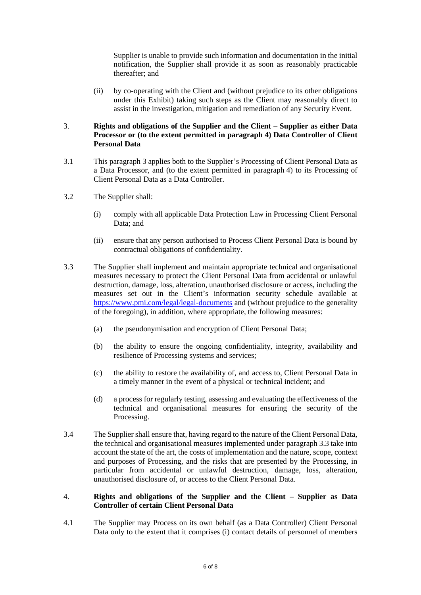Supplier is unable to provide such information and documentation in the initial notification, the Supplier shall provide it as soon as reasonably practicable thereafter; and

(ii) by co-operating with the Client and (without prejudice to its other obligations under this Exhibit) taking such steps as the Client may reasonably direct to assist in the investigation, mitigation and remediation of any Security Event.

# 3. **Rights and obligations of the Supplier and the Client – Supplier as either Data Processor or (to the extent permitted in paragraph 4) Data Controller of Client Personal Data**

- 3.1 This paragraph 3 applies both to the Supplier's Processing of Client Personal Data as a Data Processor, and (to the extent permitted in paragraph 4) to its Processing of Client Personal Data as a Data Controller.
- 3.2 The Supplier shall:
	- (i) comply with all applicable Data Protection Law in Processing Client Personal Data; and
	- (ii) ensure that any person authorised to Process Client Personal Data is bound by contractual obligations of confidentiality.
- 3.3 The Supplier shall implement and maintain appropriate technical and organisational measures necessary to protect the Client Personal Data from accidental or unlawful destruction, damage, loss, alteration, unauthorised disclosure or access, including the measures set out in the Client's information security schedule available at <https://www.pmi.com/legal/legal-documents> and (without prejudice to the generality of the foregoing), in addition, where appropriate, the following measures:
	- (a) the pseudonymisation and encryption of Client Personal Data;
	- (b) the ability to ensure the ongoing confidentiality, integrity, availability and resilience of Processing systems and services;
	- (c) the ability to restore the availability of, and access to, Client Personal Data in a timely manner in the event of a physical or technical incident; and
	- (d) a process for regularly testing, assessing and evaluating the effectiveness of the technical and organisational measures for ensuring the security of the Processing.
- 3.4 The Supplier shall ensure that, having regard to the nature of the Client Personal Data, the technical and organisational measures implemented under paragraph 3.3 take into account the state of the art, the costs of implementation and the nature, scope, context and purposes of Processing, and the risks that are presented by the Processing, in particular from accidental or unlawful destruction, damage, loss, alteration, unauthorised disclosure of, or access to the Client Personal Data.

## 4. **Rights and obligations of the Supplier and the Client – Supplier as Data Controller of certain Client Personal Data**

4.1 The Supplier may Process on its own behalf (as a Data Controller) Client Personal Data only to the extent that it comprises (i) contact details of personnel of members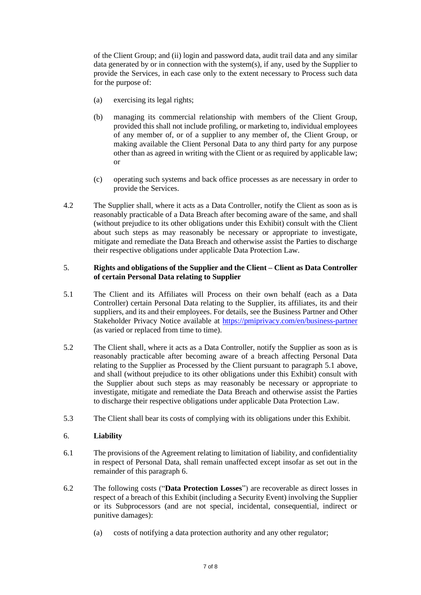of the Client Group; and (ii) login and password data, audit trail data and any similar data generated by or in connection with the system(s), if any, used by the Supplier to provide the Services, in each case only to the extent necessary to Process such data for the purpose of:

- (a) exercising its legal rights;
- (b) managing its commercial relationship with members of the Client Group, provided this shall not include profiling, or marketing to, individual employees of any member of, or of a supplier to any member of, the Client Group, or making available the Client Personal Data to any third party for any purpose other than as agreed in writing with the Client or as required by applicable law; or
- (c) operating such systems and back office processes as are necessary in order to provide the Services.
- 4.2 The Supplier shall, where it acts as a Data Controller, notify the Client as soon as is reasonably practicable of a Data Breach after becoming aware of the same, and shall (without prejudice to its other obligations under this Exhibit) consult with the Client about such steps as may reasonably be necessary or appropriate to investigate, mitigate and remediate the Data Breach and otherwise assist the Parties to discharge their respective obligations under applicable Data Protection Law.

## 5. **Rights and obligations of the Supplier and the Client – Client as Data Controller of certain Personal Data relating to Supplier**

- 5.1 The Client and its Affiliates will Process on their own behalf (each as a Data Controller) certain Personal Data relating to the Supplier, its affiliates, its and their suppliers, and its and their employees. For details, see the Business Partner and Other Stakeholder Privacy Notice available at<https://pmiprivacy.com/en/business-partner> (as varied or replaced from time to time).
- 5.2 The Client shall, where it acts as a Data Controller, notify the Supplier as soon as is reasonably practicable after becoming aware of a breach affecting Personal Data relating to the Supplier as Processed by the Client pursuant to paragraph 5.1 above, and shall (without prejudice to its other obligations under this Exhibit) consult with the Supplier about such steps as may reasonably be necessary or appropriate to investigate, mitigate and remediate the Data Breach and otherwise assist the Parties to discharge their respective obligations under applicable Data Protection Law.
- 5.3 The Client shall bear its costs of complying with its obligations under this Exhibit.

## 6. **Liability**

- 6.1 The provisions of the Agreement relating to limitation of liability, and confidentiality in respect of Personal Data, shall remain unaffected except insofar as set out in the remainder of this paragraph 6.
- 6.2 The following costs ("**Data Protection Losses**") are recoverable as direct losses in respect of a breach of this Exhibit (including a Security Event) involving the Supplier or its Subprocessors (and are not special, incidental, consequential, indirect or punitive damages):
	- (a) costs of notifying a data protection authority and any other regulator;